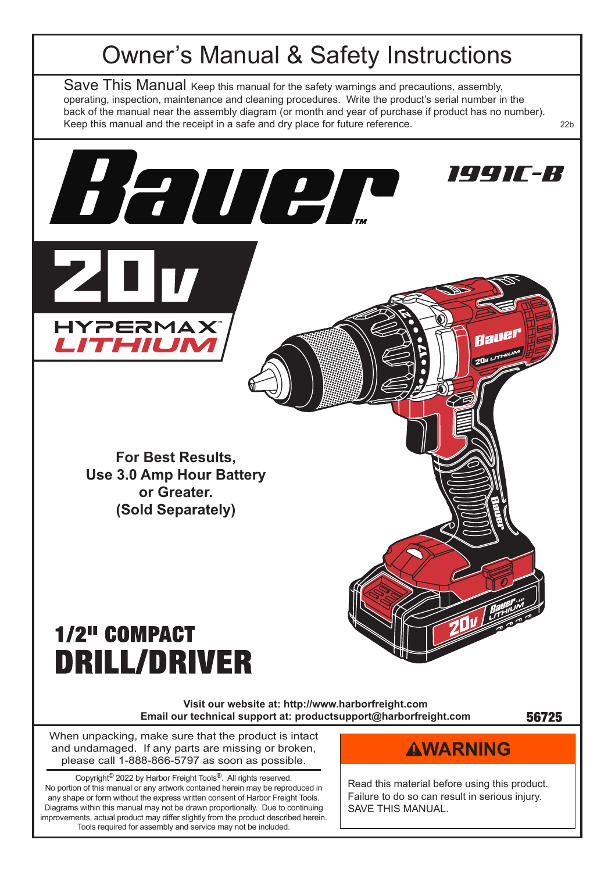# Owner's Manual & Safety Instructions

Save This Manual Keep this manual for the safety warnings and precautions, assembly, operating, inspection, maintenance and cleaning procedures. Write the product's serial number in the back of the manual near the assembly diagram (or month and year of purchase if product has no number). Keep this manual and the receipt in a safe and dry place for future reference.  $\overline{22b}$  22b



No portion of this manual or any artwork contained herein may be reproduced in any shape or form without the express written consent of Harbor Freight Tools. Diagrams within this manual may not be drawn proportionally. Due to continuing improvements, actual product may differ slightly from the product described herein. Tools required for assembly and service may not be included.

Read this material before using this product. Failure to do so can result in serious injury. SAVE THIS MANUAL.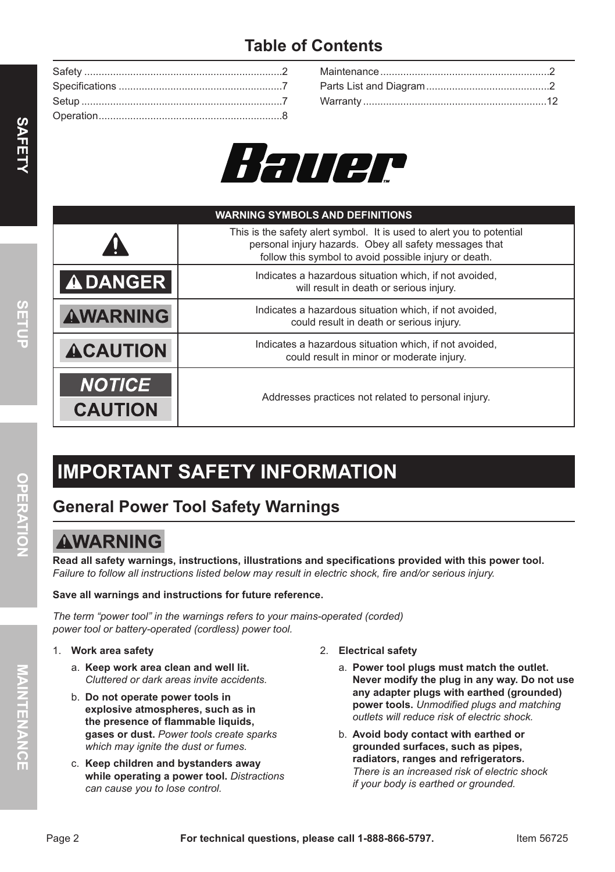# **Table of Contents**



| <b>WARNING SYMBOLS AND DEFINITIONS</b> |                                                                                                                                                                                          |  |  |  |
|----------------------------------------|------------------------------------------------------------------------------------------------------------------------------------------------------------------------------------------|--|--|--|
|                                        | This is the safety alert symbol. It is used to alert you to potential<br>personal injury hazards. Obey all safety messages that<br>follow this symbol to avoid possible injury or death. |  |  |  |
| <b>ADANGER</b>                         | Indicates a hazardous situation which, if not avoided,<br>will result in death or serious injury.                                                                                        |  |  |  |
| <b>AWARNING</b>                        | Indicates a hazardous situation which, if not avoided,<br>could result in death or serious injury.                                                                                       |  |  |  |
| <b>ACAUTION</b>                        | Indicates a hazardous situation which, if not avoided,<br>could result in minor or moderate injury.                                                                                      |  |  |  |
| <b>NOTICE</b>                          | Addresses practices not related to personal injury.                                                                                                                                      |  |  |  |
| <b>CAUTION</b>                         |                                                                                                                                                                                          |  |  |  |

# **IMPORTANT SAFETY INFORMATION**

# **General Power Tool Safety Warnings**

## **AWARNING**

**Read all safety warnings, instructions, illustrations and specifications provided with this power tool.**  *Failure to follow all instructions listed below may result in electric shock, fire and/or serious injury.*

#### **Save all warnings and instructions for future reference.**

*The term "power tool" in the warnings refers to your mains-operated (corded) power tool or battery-operated (cordless) power tool.*

#### 1. **Work area safety**

- a. **Keep work area clean and well lit.**  *Cluttered or dark areas invite accidents.*
- b. **Do not operate power tools in explosive atmospheres, such as in the presence of flammable liquids, gases or dust.** *Power tools create sparks which may ignite the dust or fumes.*
- c. **Keep children and bystanders away while operating a power tool.** *Distractions can cause you to lose control.*
- 2. **Electrical safety**
	- a. **Power tool plugs must match the outlet. Never modify the plug in any way. Do not use any adapter plugs with earthed (grounded) power tools.** *Unmodified plugs and matching outlets will reduce risk of electric shock.*
	- b. **Avoid body contact with earthed or grounded surfaces, such as pipes, radiators, ranges and refrigerators.**  *There is an increased risk of electric shock if your body is earthed or grounded.*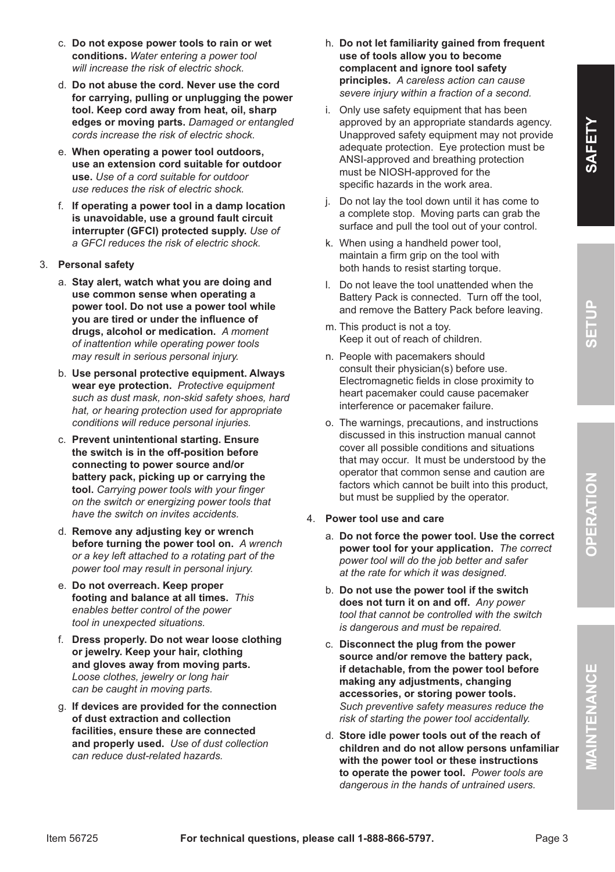**M AINT E N ANC E**

- c. **Do not expose power tools to rain or wet conditions.** *Water entering a power tool will increase the risk of electric shock.*
- d. **Do not abuse the cord. Never use the cord for carrying, pulling or unplugging the power tool. Keep cord away from heat, oil, sharp edges or moving parts.** *Damaged or entangled cords increase the risk of electric shock.*
- e. **When operating a power tool outdoors, use an extension cord suitable for outdoor use.** *Use of a cord suitable for outdoor use reduces the risk of electric shock.*
- f. **If operating a power tool in a damp location is unavoidable, use a ground fault circuit interrupter (GFCI) protected supply.** *Use of a GFCI reduces the risk of electric shock.*
- 3. **Personal safety**
	- a. **Stay alert, watch what you are doing and use common sense when operating a power tool. Do not use a power tool while you are tired or under the influence of drugs, alcohol or medication.** *A moment of inattention while operating power tools may result in serious personal injury.*
	- b. **Use personal protective equipment. Always wear eye protection.** *Protective equipment such as dust mask, non-skid safety shoes, hard hat, or hearing protection used for appropriate conditions will reduce personal injuries.*
	- c. **Prevent unintentional starting. Ensure the switch is in the off-position before connecting to power source and/or battery pack, picking up or carrying the tool.** *Carrying power tools with your finger on the switch or energizing power tools that have the switch on invites accidents.*
	- d. **Remove any adjusting key or wrench before turning the power tool on.** *A wrench or a key left attached to a rotating part of the power tool may result in personal injury.*
	- e. **Do not overreach. Keep proper footing and balance at all times.** *This enables better control of the power tool in unexpected situations.*
	- f. **Dress properly. Do not wear loose clothing or jewelry. Keep your hair, clothing and gloves away from moving parts.**  *Loose clothes, jewelry or long hair can be caught in moving parts.*
	- g. **If devices are provided for the connection of dust extraction and collection facilities, ensure these are connected and properly used.** *Use of dust collection can reduce dust-related hazards.*
- h. **Do not let familiarity gained from frequent use of tools allow you to become complacent and ignore tool safety principles.** *A careless action can cause severe injury within a fraction of a second.*
- i. Only use safety equipment that has been approved by an appropriate standards agency. Unapproved safety equipment may not provide adequate protection. Eye protection must be ANSI-approved and breathing protection must be NIOSH-approved for the specific hazards in the work area.
- j. Do not lay the tool down until it has come to a complete stop. Moving parts can grab the surface and pull the tool out of your control.
- k. When using a handheld power tool, maintain a firm grip on the tool with both hands to resist starting torque.
- l. Do not leave the tool unattended when the Battery Pack is connected. Turn off the tool, and remove the Battery Pack before leaving.
- m. This product is not a toy. Keep it out of reach of children.
- n. People with pacemakers should consult their physician(s) before use. Electromagnetic fields in close proximity to heart pacemaker could cause pacemaker interference or pacemaker failure.
- o. The warnings, precautions, and instructions discussed in this instruction manual cannot cover all possible conditions and situations that may occur. It must be understood by the operator that common sense and caution are factors which cannot be built into this product, but must be supplied by the operator.
- 4. **Power tool use and care**
	- a. **Do not force the power tool. Use the correct power tool for your application.** *The correct power tool will do the job better and safer at the rate for which it was designed.*
	- b. **Do not use the power tool if the switch does not turn it on and off.** *Any power tool that cannot be controlled with the switch is dangerous and must be repaired.*
	- c. **Disconnect the plug from the power source and/or remove the battery pack, if detachable, from the power tool before making any adjustments, changing accessories, or storing power tools.**  *Such preventive safety measures reduce the risk of starting the power tool accidentally.*
	- d. **Store idle power tools out of the reach of children and do not allow persons unfamiliar with the power tool or these instructions to operate the power tool.** *Power tools are dangerous in the hands of untrained users.*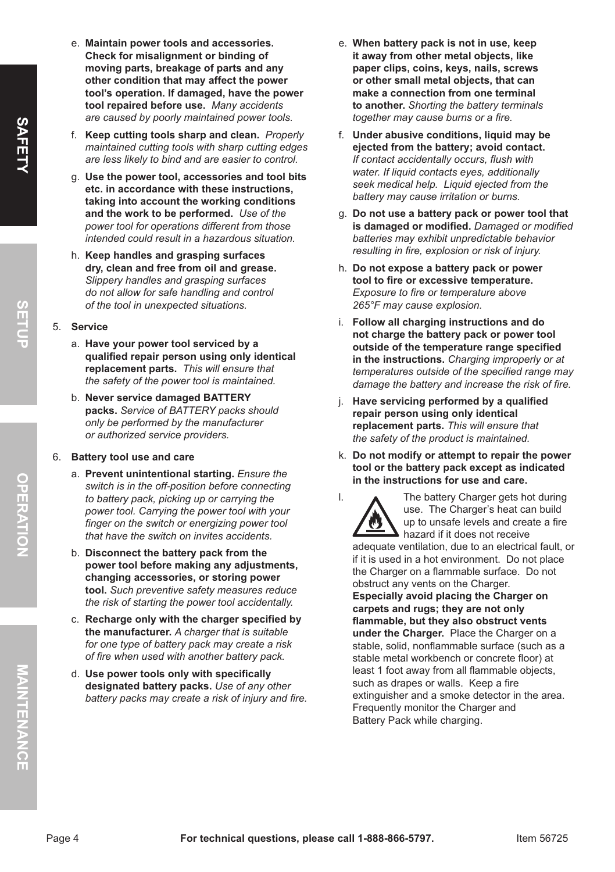- e. **Maintain power tools and accessories. Check for misalignment or binding of moving parts, breakage of parts and any other condition that may affect the power tool's operation. If damaged, have the power tool repaired before use.** *Many accidents are caused by poorly maintained power tools.*
- f. **Keep cutting tools sharp and clean.** *Properly maintained cutting tools with sharp cutting edges are less likely to bind and are easier to control.*
- g. **Use the power tool, accessories and tool bits etc. in accordance with these instructions, taking into account the working conditions and the work to be performed.** *Use of the power tool for operations different from those intended could result in a hazardous situation.*
- h. **Keep handles and grasping surfaces dry, clean and free from oil and grease.**  *Slippery handles and grasping surfaces do not allow for safe handling and control of the tool in unexpected situations.*

#### 5. **Service**

- a. **Have your power tool serviced by a qualified repair person using only identical replacement parts.** *This will ensure that the safety of the power tool is maintained.*
- b. **Never service damaged BATTERY packs.** *Service of BATTERY packs should only be performed by the manufacturer or authorized service providers.*

#### 6. **Battery tool use and care**

- a. **Prevent unintentional starting.** *Ensure the switch is in the off-position before connecting to battery pack, picking up or carrying the power tool. Carrying the power tool with your finger on the switch or energizing power tool that have the switch on invites accidents.*
- b. **Disconnect the battery pack from the power tool before making any adjustments, changing accessories, or storing power tool.** *Such preventive safety measures reduce the risk of starting the power tool accidentally.*
- c. **Recharge only with the charger specified by the manufacturer.** *A charger that is suitable for one type of battery pack may create a risk of fire when used with another battery pack.*
- d. **Use power tools only with specifically designated battery packs.** *Use of any other battery packs may create a risk of injury and fire.*
- e. **When battery pack is not in use, keep it away from other metal objects, like paper clips, coins, keys, nails, screws or other small metal objects, that can make a connection from one terminal to another.** *Shorting the battery terminals together may cause burns or a fire.*
- f. **Under abusive conditions, liquid may be ejected from the battery; avoid contact.**  *If contact accidentally occurs, flush with water. If liquid contacts eyes, additionally seek medical help. Liquid ejected from the battery may cause irritation or burns.*
- g. **Do not use a battery pack or power tool that is damaged or modified.** *Damaged or modified batteries may exhibit unpredictable behavior resulting in fire, explosion or risk of injury.*
- h. **Do not expose a battery pack or power tool to fire or excessive temperature.**  *Exposure to fire or temperature above 265°F may cause explosion.*
- i. **Follow all charging instructions and do not charge the battery pack or power tool outside of the temperature range specified in the instructions.** *Charging improperly or at temperatures outside of the specified range may damage the battery and increase the risk of fire.*
- j. **Have servicing performed by a qualified repair person using only identical replacement parts.** *This will ensure that the safety of the product is maintained.*
- k. **Do not modify or attempt to repair the power tool or the battery pack except as indicated in the instructions for use and care.**

l. The battery Charger gets hot during use. The Charger's heat can build up to unsafe levels and create a fire hazard if it does not receive adequate ventilation, due to an electrical fault, or if it is used in a hot environment. Do not place the Charger on a flammable surface. Do not obstruct any vents on the Charger. **Especially avoid placing the Charger on carpets and rugs; they are not only flammable, but they also obstruct vents under the Charger.** Place the Charger on a stable, solid, nonflammable surface (such as a stable metal workbench or concrete floor) at least 1 foot away from all flammable objects, such as drapes or walls. Keep a fire extinguisher and a smoke detector in the area. Frequently monitor the Charger and Battery Pack while charging.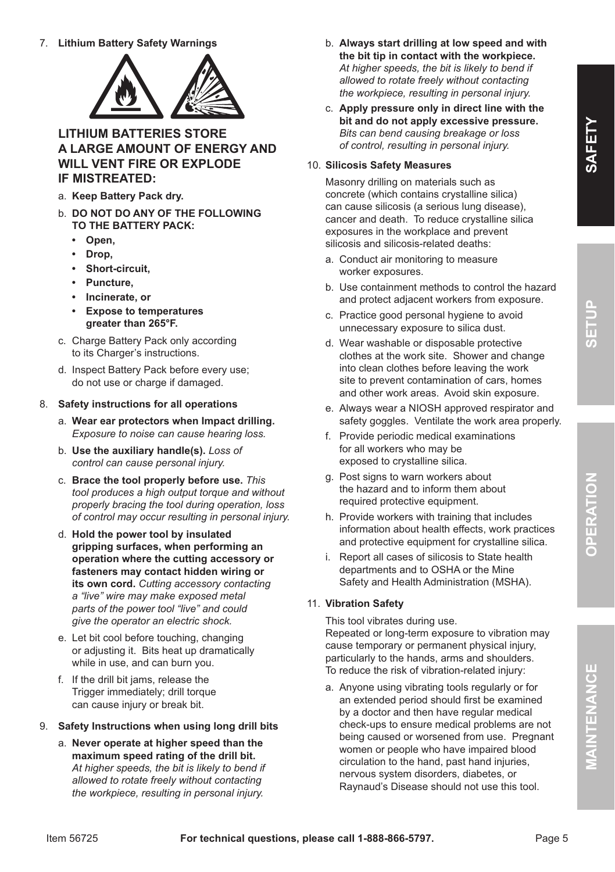**MAINT E**

**N ANC E**

7. **Lithium Battery Safety Warnings**



**LITHIUM BATTERIES STORE A LARGE AMOUNT OF ENERGY AND**  WILL VENT FIRE OR **EXPLODE IF MISTREATED:**

- a. **Keep Battery Pack dry.**
- b. **DO NOT DO ANY OF THE FOLLOWING TO THE BATTERY PACK:**
	- **• Open,**
	- **• Drop,**
	- **• Short-circuit,**
	- **• Puncture,**
	- **• Incinerate, or**
	- **• Expose to temperatures greater than 265°F.**
- c. Charge Battery Pack only according to its Charger's instructions.
- d. Inspect Battery Pack before every use; do not use or charge if damaged.
- 8. **Safety instructions for all operations**
	- a. **Wear ear protectors when Impact drilling.**  *Exposure to noise can cause hearing loss.*
	- b. **Use the auxiliary handle(s).** *Loss of control can cause personal injury.*
	- c. **Brace the tool properly before use.** *This tool produces a high output torque and without properly bracing the tool during operation, loss of control may occur resulting in personal injury.*
	- d. **Hold the power tool by insulated gripping surfaces, when performing an operation where the cutting accessory or fasteners may contact hidden wiring or its own cord.** *Cutting accessory contacting a "live" wire may make exposed metal parts of the power tool "live" and could give the operator an electric shock.*
	- e. Let bit cool before touching, changing or adjusting it. Bits heat up dramatically while in use, and can burn you.
	- f. If the drill bit jams, release the Trigger immediately; drill torque can cause injury or break bit.
- 9. **Safety Instructions when using long drill bits**
	- a. **Never operate at higher speed than the maximum speed rating of the drill bit.**  *At higher speeds, the bit is likely to bend if allowed to rotate freely without contacting the workpiece, resulting in personal injury.*
- b. **Always start drilling at low speed and with the bit tip in contact with the workpiece.**  *At higher speeds, the bit is likely to bend if allowed to rotate freely without contacting the workpiece, resulting in personal injury.*
- c. **Apply pressure only in direct line with the bit and do not apply excessive pressure.**  *Bits can bend causing breakage or loss of control, resulting in personal injury.*

#### 10. **Silicosis Safety Measures**

Masonry drilling on materials such as concrete (which contains crystalline silica) can cause silicosis (a serious lung disease), cancer and death. To reduce crystalline silica exposures in the workplace and prevent silicosis and silicosis-related deaths:

- a. Conduct air monitoring to measure worker exposures.
- b. Use containment methods to control the hazard and protect adjacent workers from exposure.
- c. Practice good personal hygiene to avoid unnecessary exposure to silica dust.
- d. Wear washable or disposable protective clothes at the work site. Shower and change into clean clothes before leaving the work site to prevent contamination of cars, homes and other work areas. Avoid skin exposure.
- e. Always wear a NIOSH approved respirator and safety goggles. Ventilate the work area properly.
- f. Provide periodic medical examinations for all workers who may be exposed to crystalline silica.
- g. Post signs to warn workers about the hazard and to inform them about required protective equipment.
- h. Provide workers with training that includes information about health effects, work practices and protective equipment for crystalline silica.
- i. Report all cases of silicosis to State health departments and to OSHA or the Mine Safety and Health Administration (MSHA).

#### 11. **Vibration Safety**

This tool vibrates during use. Repeated or long-term exposure to vibration may cause temporary or permanent physical injury, particularly to the hands, arms and shoulders. To reduce the risk of vibration-related injury:

a. Anyone using vibrating tools regularly or for an extended period should first be examined by a doctor and then have regular medical check-ups to ensure medical problems are not being caused or worsened from use. Pregnant women or people who have impaired blood circulation to the hand, past hand injuries, nervous system disorders, diabetes, or Raynaud's Disease should not use this tool.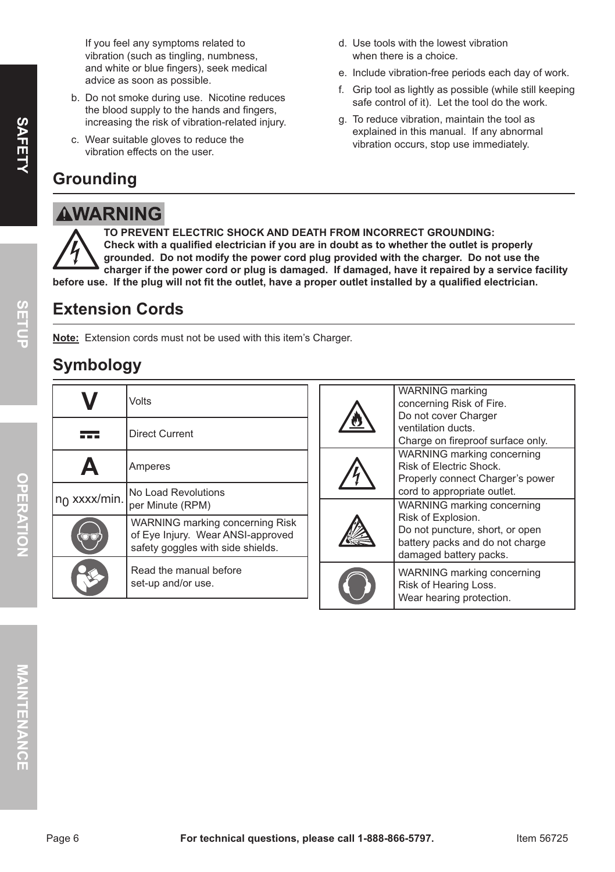**SAFET SAFETY**

> **S E T U P**

If you feel any symptoms related to vibration (such as tingling, numbness, and white or blue fingers), seek medical advice as soon as possible.

- b. Do not smoke during use. Nicotine reduces the blood supply to the hands and fingers, increasing the risk of vibration-related injury.
- c. Wear suitable gloves to reduce the vibration effects on the user.

## **Grounding**

## AWARNING

d. Use tools with the lowest vibration when there is a choice.

- e. Include vibration-free periods each day of work.
- f. Grip tool as lightly as possible (while still keeping safe control of it). Let the tool do the work.
- g. To reduce vibration, maintain the tool as explained in this manual. If any abnormal vibration occurs, stop use immediately.

#### **TO PREVENT ELECTRIC SHOCK AND DEATH FROM INCORRECT GROUNDING: Check with a qualified electrician if you are in doubt as to whether the outlet is properly**

**grounded. Do not modify the power cord plug provided with the charger. Do not use the charger if the power cord or plug is damaged. If damaged, have it repaired by a service facility before use. If the plug will not fit the outlet, have a proper outlet installed by a qualified electrician.**

## **Extension Cords**

**Note:** Extension cords must not be used with this item's Charger.

## **Symbology**

|                 | Volts                                                                                                                                                |  |  | <b>WARNING</b> marking<br>concerning Risk of Fire.<br>Do not cover Charger                                         |
|-----------------|------------------------------------------------------------------------------------------------------------------------------------------------------|--|--|--------------------------------------------------------------------------------------------------------------------|
|                 | <b>Direct Current</b>                                                                                                                                |  |  | ventilation ducts.<br>Charge on fireproof surface only.                                                            |
|                 | Amperes                                                                                                                                              |  |  | WARNING marking concerning<br>Risk of Electric Shock.<br>Properly connect Charger's power                          |
| $n_0$ xxxx/min. | No Load Revolutions<br>per Minute (RPM)<br>WARNING marking concerning Risk<br>of Eye Injury. Wear ANSI-approved<br>safety goggles with side shields. |  |  | cord to appropriate outlet.                                                                                        |
|                 |                                                                                                                                                      |  |  | WARNING marking concerning                                                                                         |
|                 |                                                                                                                                                      |  |  | Risk of Explosion.<br>Do not puncture, short, or open<br>battery packs and do not charge<br>damaged battery packs. |
|                 | Read the manual before<br>set-up and/or use.                                                                                                         |  |  | WARNING marking concerning<br>Risk of Hearing Loss.<br>Wear hearing protection.                                    |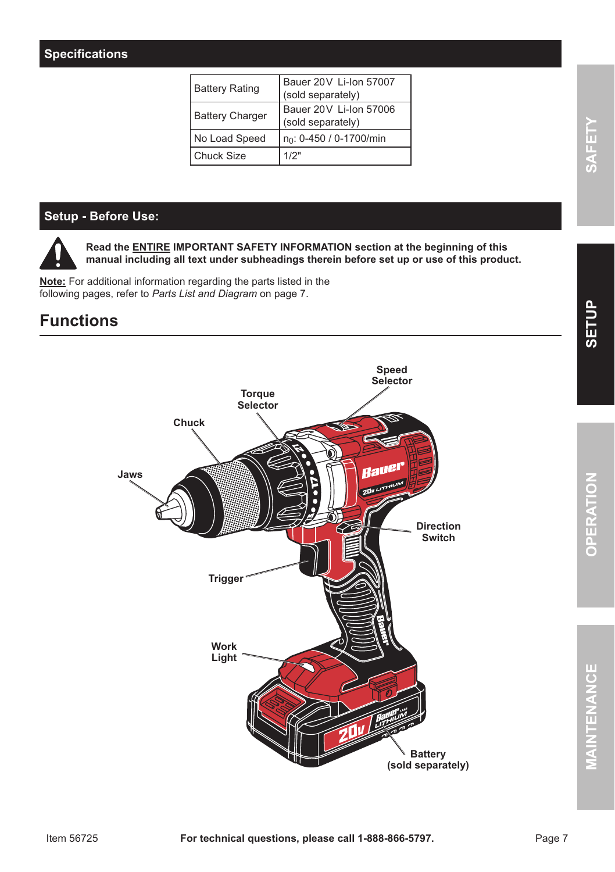| <b>Battery Rating</b>  | Bauer 20V Li-Ion 57007<br>(sold separately) |
|------------------------|---------------------------------------------|
| <b>Battery Charger</b> | Bauer 20V Li-Ion 57006<br>(sold separately) |
| No Load Speed          | n <sub>0</sub> : 0-450 / 0-1700/min         |
| Chuck Size             | 1/2"                                        |

### **Setup - Before Use:**



**Read the ENTIRE IMPORTANT SAFETY INFORMATION section at the beginning of this manual including all text under subheadings therein before set up or use of this product.**

**Note:** For additional information regarding the parts listed in the following pages, refer to *Parts List and Diagram* on page 7.

### **Functions**

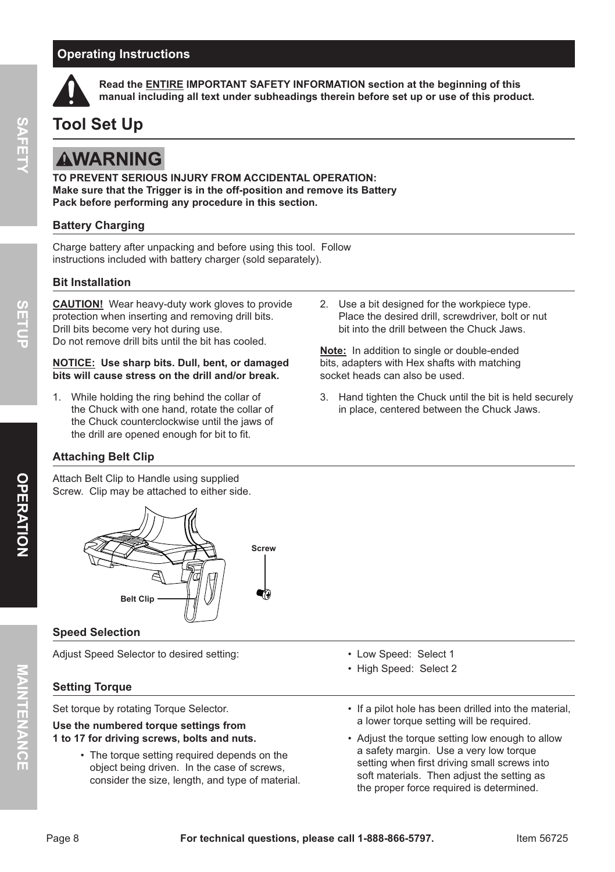#### **Operating Instructions**



**Read the ENTIRE IMPORTANT SAFETY INFORMATION section at the beginning of this manual including all text under subheadings therein before set up or use of this product.**

# **Tool Set Up**

# **AWARNING**

**TO PREVENT SERIOUS INJURY FROM ACCIDENTAL OPERATION: Make sure that the Trigger is in the off-position and remove its Battery Pack before performing any procedure in this section.**

### **Battery Charging**

Charge battery after unpacking and before using this tool. Follow instructions included with battery charger (sold separately).

#### **Bit Installation**

**CAUTION!** Wear heavy-duty work gloves to provide protection when inserting and removing drill bits. Drill bits become very hot during use. Do not remove drill bits until the bit has cooled.

#### **NOTICE: Use sharp bits. Dull, bent, or damaged bits will cause stress on the drill and/or break.**

- 1. While holding the ring behind the collar of the Chuck with one hand, rotate the collar of the Chuck counterclockwise until the jaws of the drill are opened enough for bit to fit.
- 2. Use a bit designed for the workpiece type. Place the desired drill, screwdriver, bolt or nut bit into the drill between the Chuck Jaws.

**Note:** In addition to single or double-ended bits, adapters with Hex shafts with matching socket heads can also be used.

3. Hand tighten the Chuck until the bit is held securely in place, centered between the Chuck Jaws.

#### **Attaching Belt Clip**

Attach Belt Clip to Handle using supplied Screw. Clip may be attached to either side.



### **Speed Selection**

Adjust Speed Selector to desired setting: • Low Speed: Select 1

#### **Setting Torque**

Set torque by rotating Torque Selector.

**Use the numbered torque settings from** 

- **1 to 17 for driving screws, bolts and nuts.**
	- The torque setting required depends on the object being driven. In the case of screws, consider the size, length, and type of material.
- 
- High Speed: Select 2
- If a pilot hole has been drilled into the material, a lower torque setting will be required.
- Adjust the torque setting low enough to allow a safety margin. Use a very low torque setting when first driving small screws into soft materials. Then adiust the setting as the proper force required is determined.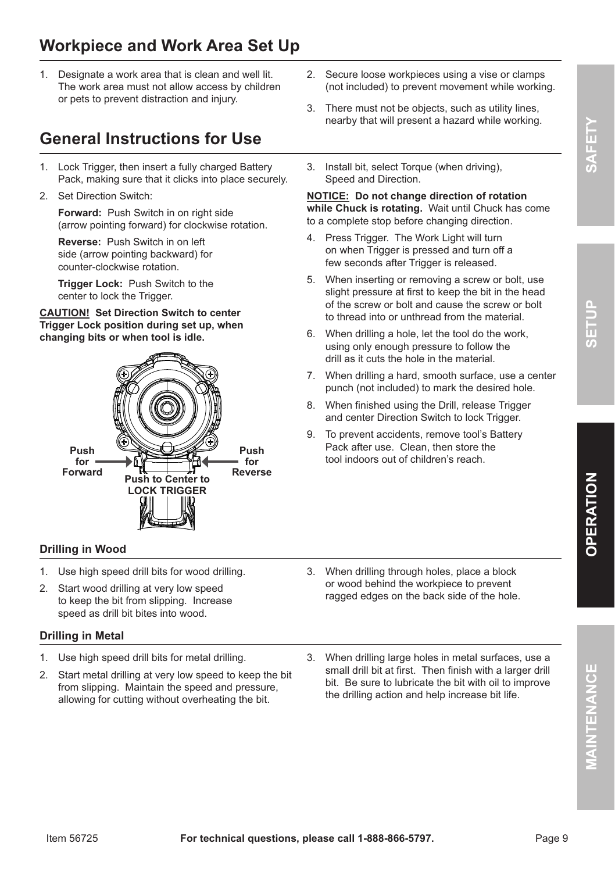# **Workpiece and Work Area Set Up**

1. Designate a work area that is clean and well lit. The work area must not allow access by children or pets to prevent distraction and injury.

# **General Instructions for Use**

- 1. Lock Trigger, then insert a fully charged Battery Pack, making sure that it clicks into place securely.
- 2. Set Direction Switch:

**Forward:** Push Switch in on right side (arrow pointing forward) for clockwise rotation.

**Reverse:** Push Switch in on left side (arrow pointing backward) for counter-clockwise rotation.

**Trigger Lock:** Push Switch to the center to lock the Trigger.

**CAUTION! Set Direction Switch to center Trigger Lock position during set up, when changing bits or when tool is idle.**



- 2. Secure loose workpieces using a vise or clamps (not included) to prevent movement while working.
- 3. There must not be objects, such as utility lines, nearby that will present a hazard while working.
- 3. Install bit, select Torque (when driving), Speed and Direction.

**NOTICE: Do not change direction of rotation while Chuck is rotating.** Wait until Chuck has come to a complete stop before changing direction.

- 4. Press Trigger. The Work Light will turn on when Trigger is pressed and turn off a few seconds after Trigger is released.
- 5. When inserting or removing a screw or bolt, use slight pressure at first to keep the bit in the head of the screw or bolt and cause the screw or bolt to thread into or unthread from the material.
- 6. When drilling a hole, let the tool do the work, using only enough pressure to follow the drill as it cuts the hole in the material.
- 7. When drilling a hard, smooth surface, use a center punch (not included) to mark the desired hole.
- 8. When finished using the Drill, release Trigger and center Direction Switch to lock Trigger.
- 9. To prevent accidents, remove tool's Battery Pack after use. Clean, then store the tool indoors out of children's reach.

- **Drilling in Wood**
- 1. Use high speed drill bits for wood drilling.
- 2. Start wood drilling at very low speed to keep the bit from slipping. Increase speed as drill bit bites into wood.

#### **Drilling in Metal**

- 1. Use high speed drill bits for metal drilling.
- 2. Start metal drilling at very low speed to keep the bit from slipping. Maintain the speed and pressure, allowing for cutting without overheating the bit.
- 3. When drilling through holes, place a block or wood behind the workpiece to prevent ragged edges on the back side of the hole.
- 3. When drilling large holes in metal surfaces, use a small drill bit at first. Then finish with a larger drill bit. Be sure to lubricate the bit with oil to improve the drilling action and help increase bit life.

**MAINT E**

**N**

**OPERATI**

**O N**

**SETUP**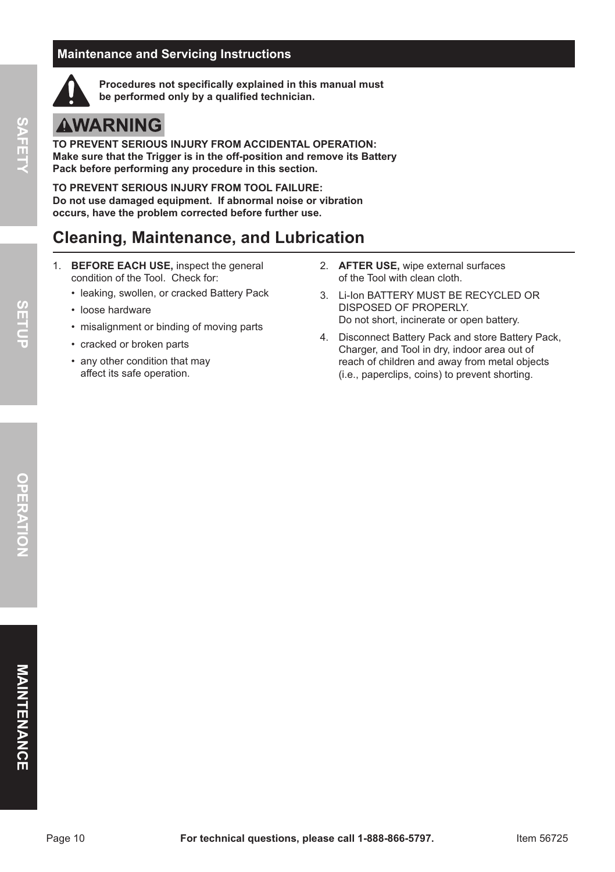#### **Maintenance and Servicing Instructions**



 **Procedures not specifically explained in this manual must be performed only by a qualified technician.**

# **AWARNING**

**TO PREVENT SERIOUS INJURY FROM ACCIDENTAL OPERATION: Make sure that the Trigger is in the off-position and remove its Battery Pack before performing any procedure in this section.**

**TO PREVENT SERIOUS INJURY FROM TOOL FAILURE: Do not use damaged equipment. If abnormal noise or vibration occurs, have the problem corrected before further use.**

### **Cleaning, Maintenance, and Lubrication**

- 1. **BEFORE EACH USE,** inspect the general condition of the Tool. Check for:
	- leaking, swollen, or cracked Battery Pack
	- loose hardware
	- misalignment or binding of moving parts
	- cracked or broken parts
	- any other condition that may affect its safe operation.
- 2. **AFTER USE,** wipe external surfaces of the Tool with clean cloth.
- 3. Li-Ion BATTERY MUST BE RECYCLED OR DISPOSED OF PROPERLY. Do not short, incinerate or open battery.
- 4. Disconnect Battery Pack and store Battery Pack, Charger, and Tool in dry, indoor area out of reach of children and away from metal objects (i.e., paperclips, coins) to prevent shorting.

**OPERATI**

**O N**

**M**

**AINT E N ANC E**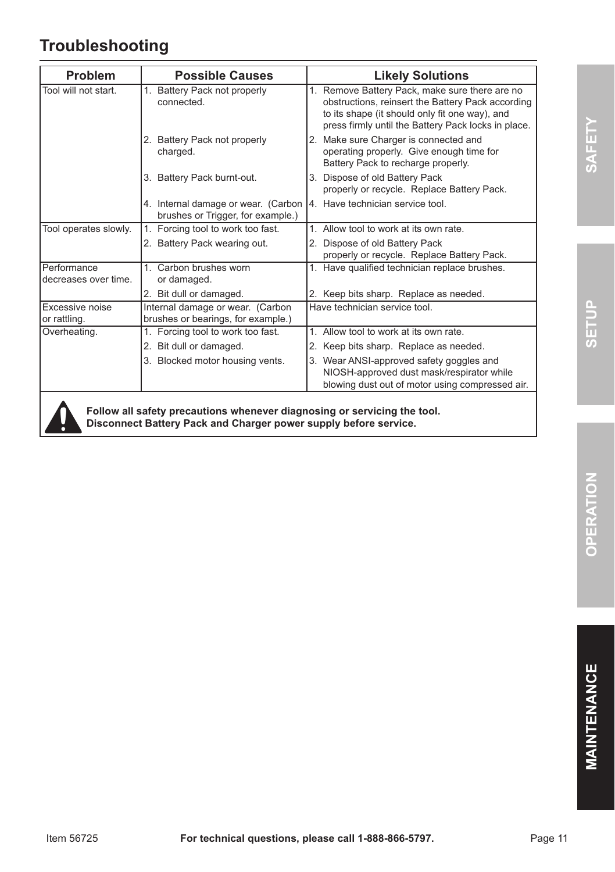## **Troubleshooting**

| <b>Problem</b>                      | <b>Possible Causes</b>                                                                                      | <b>Likely Solutions</b>                                                                                                                                                                                      |  |
|-------------------------------------|-------------------------------------------------------------------------------------------------------------|--------------------------------------------------------------------------------------------------------------------------------------------------------------------------------------------------------------|--|
| Tool will not start.                | Battery Pack not properly<br>1.<br>connected.                                                               | 1. Remove Battery Pack, make sure there are no<br>obstructions, reinsert the Battery Pack according<br>to its shape (it should only fit one way), and<br>press firmly until the Battery Pack locks in place. |  |
|                                     | Battery Pack not properly<br>2.<br>charged.                                                                 | Make sure Charger is connected and<br>2.<br>operating properly. Give enough time for<br>Battery Pack to recharge properly.                                                                                   |  |
|                                     | 3. Battery Pack burnt-out.                                                                                  | 3. Dispose of old Battery Pack<br>properly or recycle. Replace Battery Pack.                                                                                                                                 |  |
|                                     | 4. Internal damage or wear. (Carbon   4. Have technician service tool.<br>brushes or Trigger, for example.) |                                                                                                                                                                                                              |  |
| Tool operates slowly.               | Forcing tool to work too fast.<br>1.                                                                        | 1. Allow tool to work at its own rate.                                                                                                                                                                       |  |
|                                     | 2. Battery Pack wearing out.                                                                                | 2. Dispose of old Battery Pack<br>properly or recycle. Replace Battery Pack.                                                                                                                                 |  |
| Performance<br>decreases over time. | 1 Carbon brushes worn<br>or damaged.                                                                        | 1. Have qualified technician replace brushes.                                                                                                                                                                |  |
|                                     | 2. Bit dull or damaged.                                                                                     | 2. Keep bits sharp. Replace as needed.                                                                                                                                                                       |  |
| Excessive noise<br>or rattling.     | Internal damage or wear. (Carbon<br>brushes or bearings, for example.)                                      | Have technician service tool.                                                                                                                                                                                |  |
| Overheating.                        | 1. Forcing tool to work too fast.                                                                           | Allow tool to work at its own rate.<br>1                                                                                                                                                                     |  |
|                                     | 2. Bit dull or damaged.                                                                                     | 2. Keep bits sharp. Replace as needed.                                                                                                                                                                       |  |
|                                     | 3. Blocked motor housing vents.                                                                             | 3. Wear ANSI-approved safety goggles and<br>NIOSH-approved dust mask/respirator while<br>blowing dust out of motor using compressed air.                                                                     |  |



**Follow all safety precautions whenever diagnosing or servicing the tool. Disconnect Battery Pack and Charger power supply before service.**